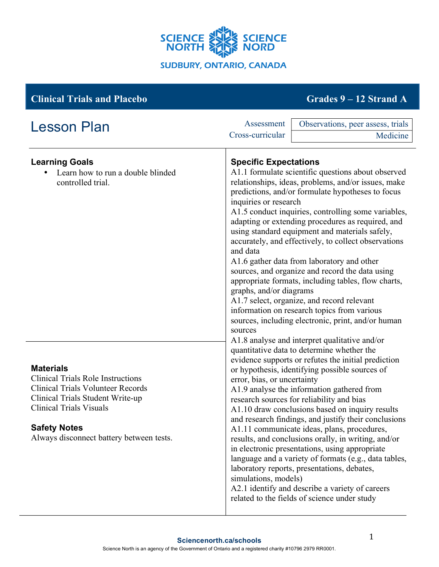

# **Clinical Trials and Placebo Grades 9 – 12 Strand A**

| <b>Lesson Plan</b>                                                                                                                                                                                                                                | Assessment<br>Cross-curricular | Observations, peer assess, trials<br>Medicine                                                                                                                                                                                                                                                                                                                                                                                                                                                                                                                                                                                                                                                                                                                                                                                                                                                                                                                                                                                                                                                                                                                                                                                                                                                                                                                                                                                                                                                                                                                                                                               |  |
|---------------------------------------------------------------------------------------------------------------------------------------------------------------------------------------------------------------------------------------------------|--------------------------------|-----------------------------------------------------------------------------------------------------------------------------------------------------------------------------------------------------------------------------------------------------------------------------------------------------------------------------------------------------------------------------------------------------------------------------------------------------------------------------------------------------------------------------------------------------------------------------------------------------------------------------------------------------------------------------------------------------------------------------------------------------------------------------------------------------------------------------------------------------------------------------------------------------------------------------------------------------------------------------------------------------------------------------------------------------------------------------------------------------------------------------------------------------------------------------------------------------------------------------------------------------------------------------------------------------------------------------------------------------------------------------------------------------------------------------------------------------------------------------------------------------------------------------------------------------------------------------------------------------------------------------|--|
|                                                                                                                                                                                                                                                   |                                |                                                                                                                                                                                                                                                                                                                                                                                                                                                                                                                                                                                                                                                                                                                                                                                                                                                                                                                                                                                                                                                                                                                                                                                                                                                                                                                                                                                                                                                                                                                                                                                                                             |  |
| <b>Learning Goals</b><br>Learn how to run a double blinded<br>controlled trial.                                                                                                                                                                   | and data<br>sources            | <b>Specific Expectations</b><br>A1.1 formulate scientific questions about observed<br>relationships, ideas, problems, and/or issues, make<br>predictions, and/or formulate hypotheses to focus<br>inquiries or research<br>A1.5 conduct inquiries, controlling some variables,<br>adapting or extending procedures as required, and<br>using standard equipment and materials safely,<br>accurately, and effectively, to collect observations<br>A1.6 gather data from laboratory and other<br>sources, and organize and record the data using<br>appropriate formats, including tables, flow charts,<br>graphs, and/or diagrams<br>A1.7 select, organize, and record relevant<br>information on research topics from various<br>sources, including electronic, print, and/or human<br>A1.8 analyse and interpret qualitative and/or<br>quantitative data to determine whether the<br>evidence supports or refutes the initial prediction<br>or hypothesis, identifying possible sources of<br>error, bias, or uncertainty<br>A1.9 analyse the information gathered from<br>research sources for reliability and bias<br>A1.10 draw conclusions based on inquiry results<br>and research findings, and justify their conclusions<br>A1.11 communicate ideas, plans, procedures,<br>results, and conclusions orally, in writing, and/or<br>in electronic presentations, using appropriate<br>language and a variety of formats (e.g., data tables,<br>laboratory reports, presentations, debates,<br>simulations, models)<br>A2.1 identify and describe a variety of careers<br>related to the fields of science under study |  |
| <b>Materials</b><br><b>Clinical Trials Role Instructions</b><br><b>Clinical Trials Volunteer Records</b><br>Clinical Trials Student Write-up<br><b>Clinical Trials Visuals</b><br><b>Safety Notes</b><br>Always disconnect battery between tests. |                                |                                                                                                                                                                                                                                                                                                                                                                                                                                                                                                                                                                                                                                                                                                                                                                                                                                                                                                                                                                                                                                                                                                                                                                                                                                                                                                                                                                                                                                                                                                                                                                                                                             |  |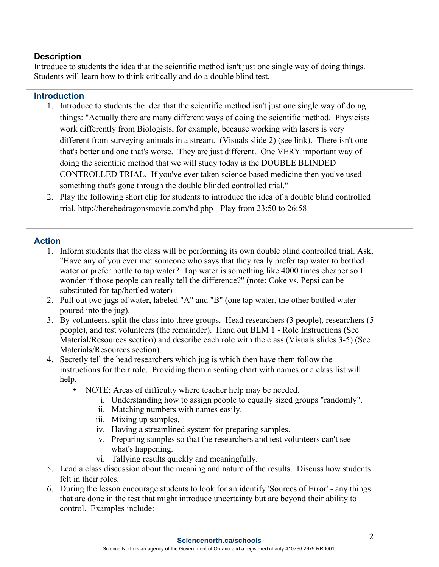### **Description**

Introduce to students the idea that the scientific method isn't just one single way of doing things. Students will learn how to think critically and do a double blind test.

#### **Introduction**

- 1. Introduce to students the idea that the scientific method isn't just one single way of doing things: "Actually there are many different ways of doing the scientific method. Physicists work differently from Biologists, for example, because working with lasers is very different from surveying animals in a stream. (Visuals slide 2) (see link). There isn't one that's better and one that's worse. They are just different. One VERY important way of doing the scientific method that we will study today is the DOUBLE BLINDED CONTROLLED TRIAL. If you've ever taken science based medicine then you've used something that's gone through the double blinded controlled trial."
- 2. Play the following short clip for students to introduce the idea of a double blind controlled trial. http://herebedragonsmovie.com/hd.php - Play from 23:50 to 26:58

# **Action**

- 1. Inform students that the class will be performing its own double blind controlled trial. Ask, "Have any of you ever met someone who says that they really prefer tap water to bottled water or prefer bottle to tap water? Tap water is something like 4000 times cheaper so I wonder if those people can really tell the difference?" (note: Coke vs. Pepsi can be substituted for tap/bottled water)
- 2. Pull out two jugs of water, labeled "A" and "B" (one tap water, the other bottled water poured into the jug).
- 3. By volunteers, split the class into three groups. Head researchers (3 people), researchers (5 people), and test volunteers (the remainder). Hand out BLM 1 - Role Instructions (See Material/Resources section) and describe each role with the class (Visuals slides 3-5) (See Materials/Resources section).
- 4. Secretly tell the head researchers which jug is which then have them follow the instructions for their role. Providing them a seating chart with names or a class list will help.
	- NOTE: Areas of difficulty where teacher help may be needed.
		- i. Understanding how to assign people to equally sized groups "randomly".
		- ii. Matching numbers with names easily.
		- iii. Mixing up samples.
		- iv. Having a streamlined system for preparing samples.
		- v. Preparing samples so that the researchers and test volunteers can't see what's happening.
		- vi. Tallying results quickly and meaningfully.
- 5. Lead a class discussion about the meaning and nature of the results. Discuss how students felt in their roles.
- 6. During the lesson encourage students to look for an identify 'Sources of Error' any things that are done in the test that might introduce uncertainty but are beyond their ability to control. Examples include: